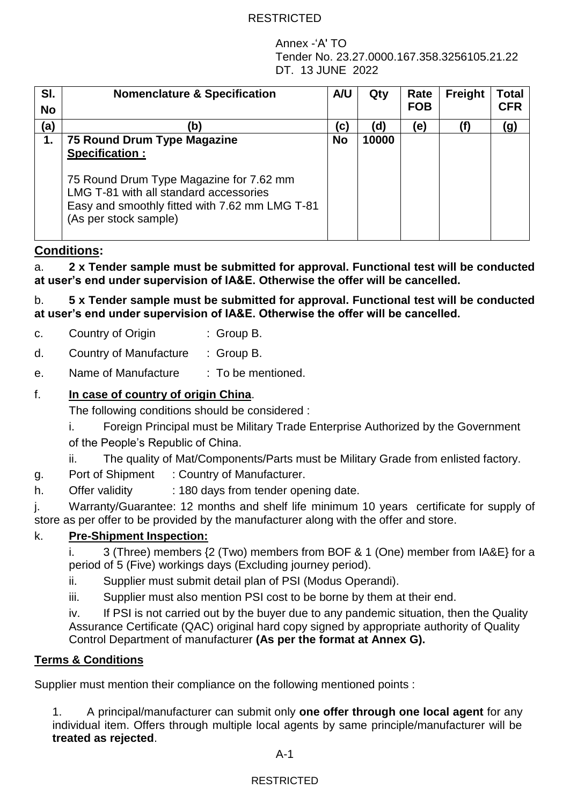Annex -'A' TO Tender No. 23.27.0000.167.358.3256105.21.22 DT. 13 JUNE 2022

| SI.<br><b>No</b> | <b>Nomenclature &amp; Specification</b>                                                                                                                                                                              | A/U       | Qty   | Rate<br><b>FOB</b> | Freight | Total<br><b>CFR</b> |
|------------------|----------------------------------------------------------------------------------------------------------------------------------------------------------------------------------------------------------------------|-----------|-------|--------------------|---------|---------------------|
| (a)              | (b                                                                                                                                                                                                                   | C)        | (d    | (e)                |         | (g)                 |
| 1.               | 75 Round Drum Type Magazine<br><b>Specification:</b><br>75 Round Drum Type Magazine for 7.62 mm<br>LMG T-81 with all standard accessories<br>Easy and smoothly fitted with 7.62 mm LMG T-81<br>(As per stock sample) | <b>No</b> | 10000 |                    |         |                     |

# **Conditions:**

a. **2 x Tender sample must be submitted for approval. Functional test will be conducted at user's end under supervision of IA&E. Otherwise the offer will be cancelled.**

b. **5 x Tender sample must be submitted for approval. Functional test will be conducted at user's end under supervision of IA&E. Otherwise the offer will be cancelled.**

| c. | Country of Origin | $\therefore$ Group B. |
|----|-------------------|-----------------------|
|----|-------------------|-----------------------|

- d. Country of Manufacture : Group B.
- e. Name of Manufacture : To be mentioned.

## f. **In case of country of origin China**.

The following conditions should be considered :

- i. Foreign Principal must be Military Trade Enterprise Authorized by the Government of the People's Republic of China.
- ii. The quality of Mat/Components/Parts must be Military Grade from enlisted factory.
- g. Port of Shipment : Country of Manufacturer.
- h. Offer validity : 180 days from tender opening date.

j. Warranty/Guarantee: 12 months and shelf life minimum 10 years certificate for supply of store as per offer to be provided by the manufacturer along with the offer and store.

# k. **Pre-Shipment Inspection:**

i. 3 (Three) members {2 (Two) members from BOF & 1 (One) member from IA&E} for a period of 5 (Five) workings days (Excluding journey period).

- ii. Supplier must submit detail plan of PSI (Modus Operandi).
- iii. Supplier must also mention PSI cost to be borne by them at their end.

iv. If PSI is not carried out by the buyer due to any pandemic situation, then the Quality Assurance Certificate (QAC) original hard copy signed by appropriate authority of Quality Control Department of manufacturer **(As per the format at Annex G).**

### **Terms & Conditions**

Supplier must mention their compliance on the following mentioned points :

1. A principal/manufacturer can submit only **one offer through one local agent** for any individual item. Offers through multiple local agents by same principle/manufacturer will be **treated as rejected**.

A-1

# **RESTRICTED**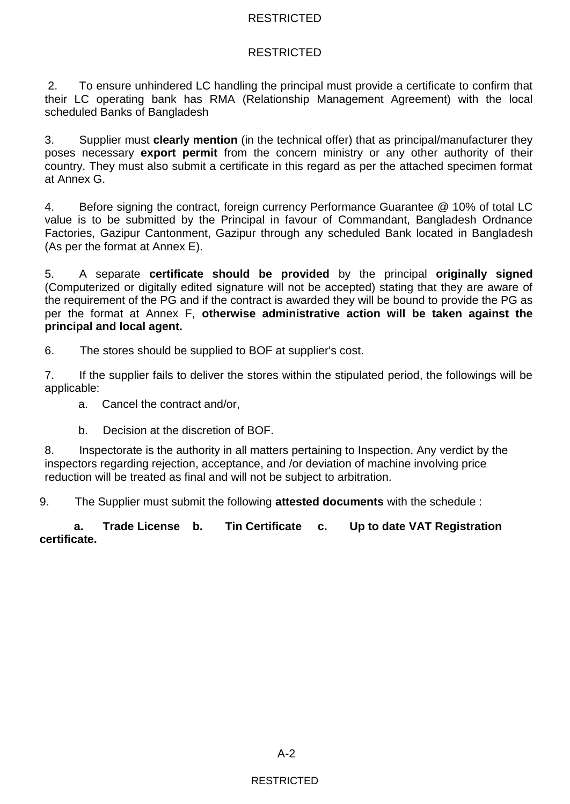# RESTRICTED

2. To ensure unhindered LC handling the principal must provide a certificate to confirm that their LC operating bank has RMA (Relationship Management Agreement) with the local scheduled Banks of Bangladesh

3. Supplier must **clearly mention** (in the technical offer) that as principal/manufacturer they poses necessary **export permit** from the concern ministry or any other authority of their country. They must also submit a certificate in this regard as per the attached specimen format at Annex G.

4. Before signing the contract, foreign currency Performance Guarantee @ 10% of total LC value is to be submitted by the Principal in favour of Commandant, Bangladesh Ordnance Factories, Gazipur Cantonment, Gazipur through any scheduled Bank located in Bangladesh (As per the format at Annex E).

5. A separate **certificate should be provided** by the principal **originally signed** (Computerized or digitally edited signature will not be accepted) stating that they are aware of the requirement of the PG and if the contract is awarded they will be bound to provide the PG as per the format at Annex F, **otherwise administrative action will be taken against the principal and local agent.** 

6. The stores should be supplied to BOF at supplier's cost.

7. If the supplier fails to deliver the stores within the stipulated period, the followings will be applicable:

a. Cancel the contract and/or,

b. Decision at the discretion of BOF.

8. Inspectorate is the authority in all matters pertaining to Inspection. Any verdict by the inspectors regarding rejection, acceptance, and /or deviation of machine involving price reduction will be treated as final and will not be subject to arbitration.

9. The Supplier must submit the following **attested documents** with the schedule :

**a. Trade License b. Tin Certificate c. Up to date VAT Registration certificate.**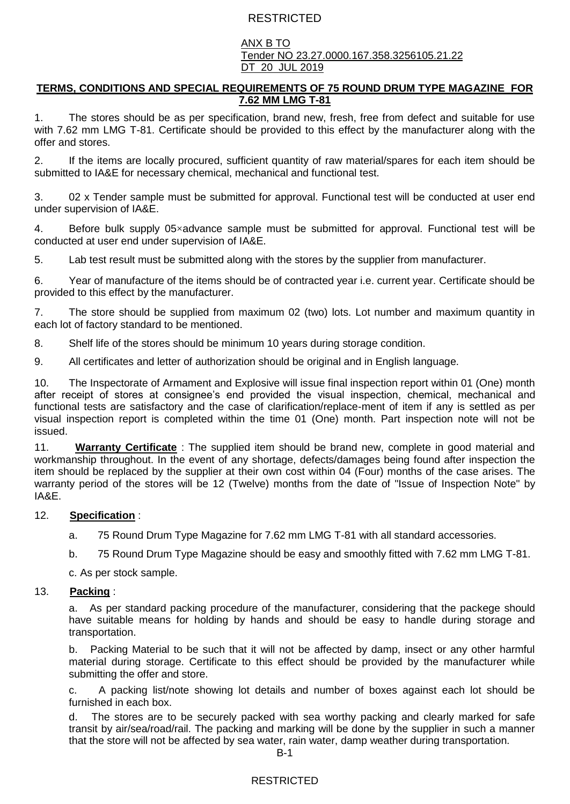#### ANX B TO Tender NO 23.27.0000.167.358.3256105.21.22 DT 20 JUL 2019

#### **TERMS, CONDITIONS AND SPECIAL REQUIREMENTS OF 75 ROUND DRUM TYPE MAGAZINE FOR 7.62 MM LMG T-81**

1. The stores should be as per specification, brand new, fresh, free from defect and suitable for use with 7.62 mm LMG T-81. Certificate should be provided to this effect by the manufacturer along with the offer and stores.

2. If the items are locally procured, sufficient quantity of raw material/spares for each item should be submitted to IA&E for necessary chemical, mechanical and functional test.

3. 02 x Tender sample must be submitted for approval. Functional test will be conducted at user end under supervision of IA&E.

4. Before bulk supply 05×advance sample must be submitted for approval. Functional test will be conducted at user end under supervision of IA&E.

5. Lab test result must be submitted along with the stores by the supplier from manufacturer.

6. Year of manufacture of the items should be of contracted year i.e. current year. Certificate should be provided to this effect by the manufacturer.

7. The store should be supplied from maximum 02 (two) lots. Lot number and maximum quantity in each lot of factory standard to be mentioned.

8. Shelf life of the stores should be minimum 10 years during storage condition.

9. All certificates and letter of authorization should be original and in English language.

10. The Inspectorate of Armament and Explosive will issue final inspection report within 01 (One) month after receipt of stores at consignee's end provided the visual inspection, chemical, mechanical and functional tests are satisfactory and the case of clarification/replace-ment of item if any is settled as per visual inspection report is completed within the time 01 (One) month. Part inspection note will not be issued.

11. **Warranty Certificate** : The supplied item should be brand new, complete in good material and workmanship throughout. In the event of any shortage, defects/damages being found after inspection the item should be replaced by the supplier at their own cost within 04 (Four) months of the case arises. The warranty period of the stores will be 12 (Twelve) months from the date of "Issue of Inspection Note" by IA&E.

#### 12. **Specification** :

a. 75 Round Drum Type Magazine for 7.62 mm LMG T-81 with all standard accessories.

b. 75 Round Drum Type Magazine should be easy and smoothly fitted with 7.62 mm LMG T-81.

c. As per stock sample.

#### 13. **Packing** :

a. As per standard packing procedure of the manufacturer, considering that the packege should have suitable means for holding by hands and should be easy to handle during storage and transportation.

b. Packing Material to be such that it will not be affected by damp, insect or any other harmful material during storage. Certificate to this effect should be provided by the manufacturer while submitting the offer and store.

c. A packing list/note showing lot details and number of boxes against each lot should be furnished in each box.

d. The stores are to be securely packed with sea worthy packing and clearly marked for safe transit by air/sea/road/rail. The packing and marking will be done by the supplier in such a manner that the store will not be affected by sea water, rain water, damp weather during transportation.

### RESTRICTED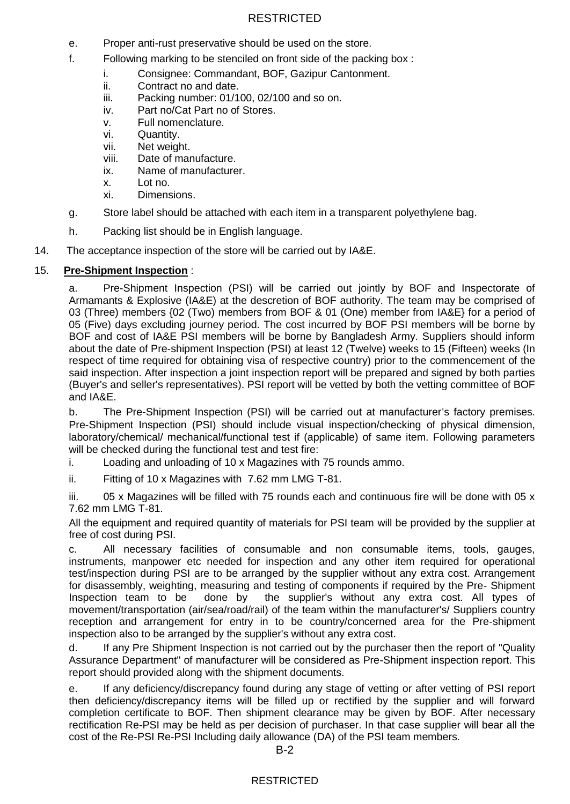- e. Proper anti-rust preservative should be used on the store.
- f. Following marking to be stenciled on front side of the packing box :
	- i. Consignee: Commandant, BOF, Gazipur Cantonment.
	- ii. Contract no and date.
	- iii. Packing number: 01/100, 02/100 and so on.
	- iv. Part no/Cat Part no of Stores.
	- v. Full nomenclature.
	- vi. Quantity.
	- vii. Net weight.
	- viii. Date of manufacture.
	- ix. Name of manufacturer.
	- x. Lot no.
	- xi. Dimensions.
- g. Store label should be attached with each item in a transparent polyethylene bag.
- h. Packing list should be in English language.
- 14. The acceptance inspection of the store will be carried out by IA&E.

### 15. **Pre-Shipment Inspection** :

a. Pre-Shipment Inspection (PSI) will be carried out jointly by BOF and Inspectorate of Armamants & Explosive (IA&E) at the descretion of BOF authority. The team may be comprised of 03 (Three) members {02 (Two) members from BOF & 01 (One) member from IA&E} for a period of 05 (Five) days excluding journey period. The cost incurred by BOF PSI members will be borne by BOF and cost of IA&E PSI members will be borne by Bangladesh Army. Suppliers should inform about the date of Pre-shipment Inspection (PSI) at least 12 (Twelve) weeks to 15 (Fifteen) weeks (In respect of time required for obtaining visa of respective country) prior to the commencement of the said inspection. After inspection a joint inspection report will be prepared and signed by both parties (Buyer's and seller's representatives). PSI report will be vetted by both the vetting committee of BOF and IA&E.

b. The Pre-Shipment Inspection (PSI) will be carried out at manufacturer's factory premises. Pre-Shipment Inspection (PSI) should include visual inspection/checking of physical dimension, laboratory/chemical/ mechanical/functional test if (applicable) of same item. Following parameters will be checked during the functional test and test fire:

- i. Loading and unloading of 10 x Magazines with 75 rounds ammo.
- ii. Fitting of 10 x Magazines with 7.62 mm LMG T-81.

iii.  $05 \times$  Magazines will be filled with 75 rounds each and continuous fire will be done with 05  $\times$ 7.62 mm LMG T-81.

All the equipment and required quantity of materials for PSI team will be provided by the supplier at free of cost during PSI.

c. All necessary facilities of consumable and non consumable items, tools, gauges, instruments, manpower etc needed for inspection and any other item required for operational test/inspection during PSI are to be arranged by the supplier without any extra cost. Arrangement for disassembly, weighting, measuring and testing of components if required by the Pre- Shipment Inspection team to be done by the supplier's without any extra cost. All types of movement/transportation (air/sea/road/rail) of the team within the manufacturer's/ Suppliers country reception and arrangement for entry in to be country/concerned area for the Pre-shipment inspection also to be arranged by the supplier's without any extra cost.

d. If any Pre Shipment Inspection is not carried out by the purchaser then the report of "Quality Assurance Department" of manufacturer will be considered as Pre-Shipment inspection report. This report should provided along with the shipment documents.

e. If any deficiency/discrepancy found during any stage of vetting or after vetting of PSI report then deficiency/discrepancy items will be filled up or rectified by the supplier and will forward completion certificate to BOF. Then shipment clearance may be given by BOF. After necessary rectification Re-PSI may be held as per decision of purchaser. In that case supplier will bear all the cost of the Re-PSI Re-PSI Including daily allowance (DA) of the PSI team members.

### RESTRICTED